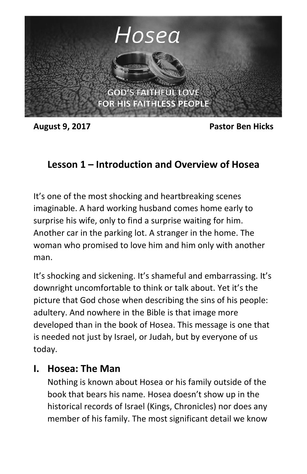

**August 9, 2017 Pastor Ben Hicks**

## **Lesson 1 – Introduction and Overview of Hosea**

It's one of the most shocking and heartbreaking scenes imaginable. A hard working husband comes home early to surprise his wife, only to find a surprise waiting for him. Another car in the parking lot. A stranger in the home. The woman who promised to love him and him only with another man.

It's shocking and sickening. It's shameful and embarrassing. It's downright uncomfortable to think or talk about. Yet it's the picture that God chose when describing the sins of his people: adultery. And nowhere in the Bible is that image more developed than in the book of Hosea. This message is one that is needed not just by Israel, or Judah, but by everyone of us today.

## **I. Hosea: The Man**

Nothing is known about Hosea or his family outside of the book that bears his name. Hosea doesn't show up in the historical records of Israel (Kings, Chronicles) nor does any member of his family. The most significant detail we know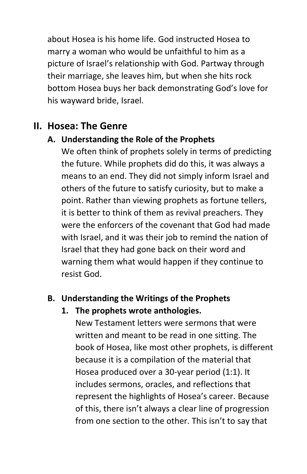about Hosea is his home life. God instructed Hosea to marry a woman who would be unfaithful to him as a picture of Israel's relationship with God. Partway through their marriage, she leaves him, but when she hits rock bottom Hosea buys her back demonstrating God's love for his wayward bride, Israel.

# **II. Hosea: The Genre**

## **A. Understanding the Role of the Prophets**

We often think of prophets solely in terms of predicting the future. While prophets did do this, it was always a means to an end. They did not simply inform Israel and others of the future to satisfy curiosity, but to make a point. Rather than viewing prophets as fortune tellers, it is better to think of them as revival preachers. They were the enforcers of the covenant that God had made with Israel, and it was their job to remind the nation of Israel that they had gone back on their word and warning them what would happen if they continue to resist God.

## **B. Understanding the Writings of the Prophets**

#### **1. The prophets wrote anthologies.**

New Testament letters were sermons that were written and meant to be read in one sitting. The book of Hosea, like most other prophets, is different because it is a compilation of the material that Hosea produced over a 30-year period (1:1). It includes sermons, oracles, and reflections that represent the highlights of Hosea's career. Because of this, there isn't always a clear line of progression from one section to the other. This isn't to say that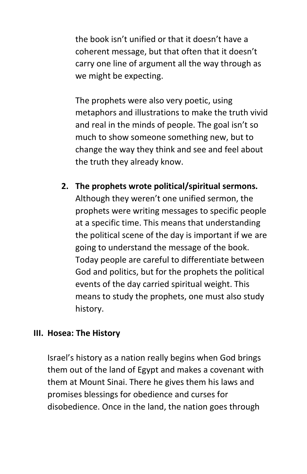the book isn't unified or that it doesn't have a coherent message, but that often that it doesn't carry one line of argument all the way through as we might be expecting.

The prophets were also very poetic, using metaphors and illustrations to make the truth vivid and real in the minds of people. The goal isn't so much to show someone something new, but to change the way they think and see and feel about the truth they already know.

**2. The prophets wrote political/spiritual sermons.** Although they weren't one unified sermon, the prophets were writing messages to specific people at a specific time. This means that understanding the political scene of the day is important if we are going to understand the message of the book. Today people are careful to differentiate between God and politics, but for the prophets the political events of the day carried spiritual weight. This means to study the prophets, one must also study history.

#### **III. Hosea: The History**

Israel's history as a nation really begins when God brings them out of the land of Egypt and makes a covenant with them at Mount Sinai. There he gives them his laws and promises blessings for obedience and curses for disobedience. Once in the land, the nation goes through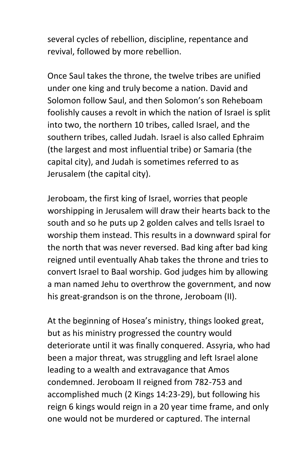several cycles of rebellion, discipline, repentance and revival, followed by more rebellion.

Once Saul takes the throne, the twelve tribes are unified under one king and truly become a nation. David and Solomon follow Saul, and then Solomon's son Reheboam foolishly causes a revolt in which the nation of Israel is split into two, the northern 10 tribes, called Israel, and the southern tribes, called Judah. Israel is also called Ephraim (the largest and most influential tribe) or Samaria (the capital city), and Judah is sometimes referred to as Jerusalem (the capital city).

Jeroboam, the first king of Israel, worries that people worshipping in Jerusalem will draw their hearts back to the south and so he puts up 2 golden calves and tells Israel to worship them instead. This results in a downward spiral for the north that was never reversed. Bad king after bad king reigned until eventually Ahab takes the throne and tries to convert Israel to Baal worship. God judges him by allowing a man named Jehu to overthrow the government, and now his great-grandson is on the throne, Jeroboam (II).

At the beginning of Hosea's ministry, things looked great, but as his ministry progressed the country would deteriorate until it was finally conquered. Assyria, who had been a major threat, was struggling and left Israel alone leading to a wealth and extravagance that Amos condemned. Jeroboam II reigned from 782-753 and accomplished much (2 Kings 14:23-29), but following his reign 6 kings would reign in a 20 year time frame, and only one would not be murdered or captured. The internal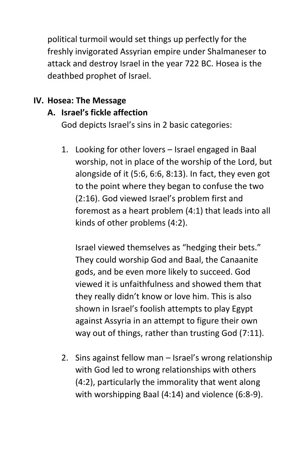political turmoil would set things up perfectly for the freshly invigorated Assyrian empire under Shalmaneser to attack and destroy Israel in the year 722 BC. Hosea is the deathbed prophet of Israel.

#### **IV. Hosea: The Message**

### **A. Israel's fickle affection**

God depicts Israel's sins in 2 basic categories:

1. Looking for other lovers – Israel engaged in Baal worship, not in place of the worship of the Lord, but alongside of it (5:6, 6:6, 8:13). In fact, they even got to the point where they began to confuse the two (2:16). God viewed Israel's problem first and foremost as a heart problem (4:1) that leads into all kinds of other problems (4:2).

Israel viewed themselves as "hedging their bets." They could worship God and Baal, the Canaanite gods, and be even more likely to succeed. God viewed it is unfaithfulness and showed them that they really didn't know or love him. This is also shown in Israel's foolish attempts to play Egypt against Assyria in an attempt to figure their own way out of things, rather than trusting God (7:11).

2. Sins against fellow man – Israel's wrong relationship with God led to wrong relationships with others (4:2), particularly the immorality that went along with worshipping Baal (4:14) and violence (6:8-9).